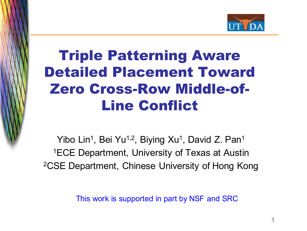

# Triple Patterning Aware Detailed Placement Toward Zero Cross-Row Middle-of-Line Conflict

This image **c** currentl y be display ed.

> Yibo Lin<sup>1</sup>, Bei Yu<sup>1,2</sup>, Biying Xu<sup>1</sup>, David Z. Pan<sup>1</sup> 1ECE Department, University of Texas at Austin 2CSE Department, Chinese University of Hong Kong

> > This work is supported in part by NSF and SRC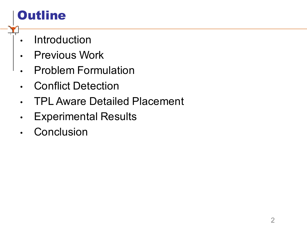# **Outline**

- Introduction
- Previous Work
- Problem Formulation
- **Conflict Detection**
- TPL Aware Detailed Placement
- **Experimental Results**
- **Conclusion**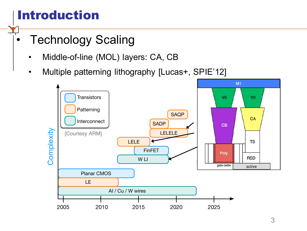# Introduction

- **Technology Scaling** 
	- Middle-of-line (MOL) layers: CA, CB
	- Multiple patterning lithography [Lucas+, SPIE'12]

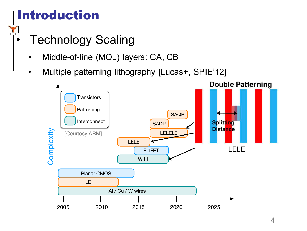# Introduction

- **Technology Scaling** 
	- Middle-of-line (MOL) layers: CA, CB
	- Multiple patterning lithography [Lucas+, SPIE'12]

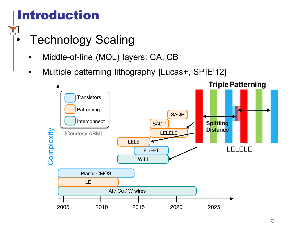# Introduction

- **Technology Scaling** 
	- Middle-of-line (MOL) layers: CA, CB
	- Multiple patterning lithography [Lucas+, SPIE'12]

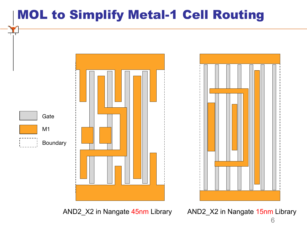# MOL to Simplify Metal-1 Cell Routing



AND2\_X2 in Nangate 45nm Library AND2\_X2 in Nangate 15nm Library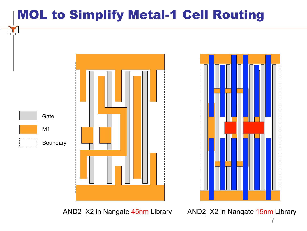# MOL to Simplify Metal-1 Cell Routing



AND2\_X2 in Nangate 45nm Library AND2\_X2 in Nangate 15nm Library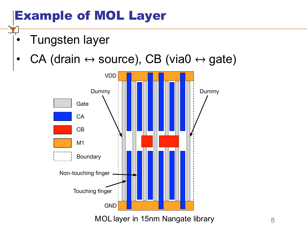# Example of MOL Layer

- Tungsten layer
- $CA$  (drain  $\leftrightarrow$  source), CB (via0  $\leftrightarrow$  gate)



MOL layer in 15nm Nangate library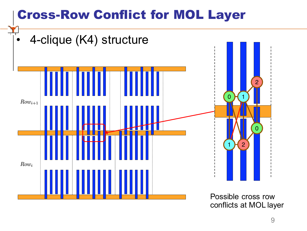# Cross-Row Conflict for MOL Layer



conflicts at MOL layer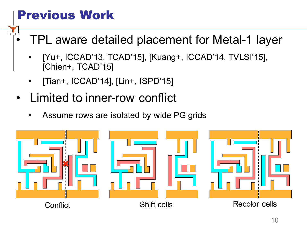# Previous Work

- TPL aware detailed placement for Metal-1 layer
	- [Yu+, ICCAD'13, TCAD'15], [Kuang+, ICCAD'14, TVLSI'15], [Chien+, TCAD'15]
	- [Tian+, ICCAD'14], [Lin+, ISPD'15]
- Limited to inner-row conflict
	- Assume rows are isolated by wide PG grids

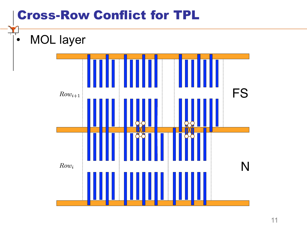## Cross-Row Conflict for TPL

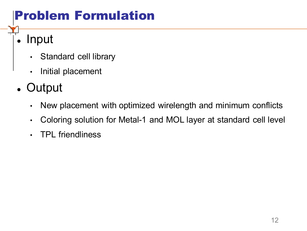# Problem Formulation

#### **Input**

- Standard cell library
- Initial placement
- Output
	- New placement with optimized wirelength and minimum conflicts
	- Coloring solution for Metal-1 and MOL layer at standard cell level
	- TPL friendliness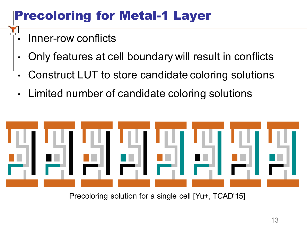# Precoloring for Metal-1 Layer

- Inner-row conflicts
- Only features at cell boundary will result in conflicts
- Construct LUT to store candidate coloring solutions
- Limited number of candidate coloring solutions



Precoloring solution for a single cell [Yu+, TCAD'15]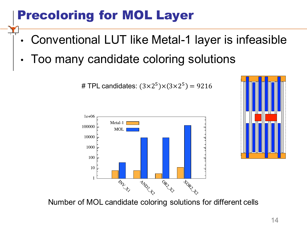# Precoloring for MOL Layer

- Conventional LUT like Metal-1 layer is infeasible
- Too many candidate coloring solutions

# TPL candidates:  $(3 \times 2^5) \times (3 \times 2^5) = 9216$ 





Number of MOL candidate coloring solutions for different cells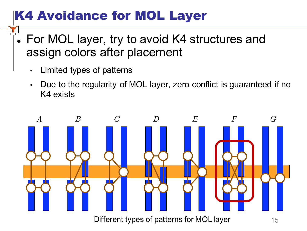# K4 Avoidance for MOL Layer

- For MOL layer, try to avoid K4 structures and assign colors after placement
	- Limited types of patterns
	- Due to the regularity of MOL layer, zero conflict is guaranteed if no K4 exists



Different types of patterns for MOL layer 15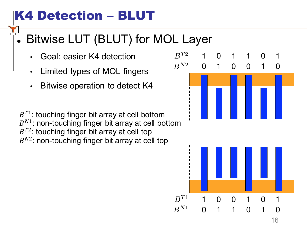# K4 Detection – BLUT

# Bitwise LUT (BLUT) for MOL Layer

- Goal: easier K4 detection
- Limited types of MOL fingers
- Bitwise operation to detect K4

 $B^{T1}$ : touching finger bit array at cell bottom  $B^{N1}$ : non-touching finger bit array at cell bottom  $B^{T2}$ : touching finger bit array at cell top  $B^{N2}$ : non-touching finger bit array at cell top

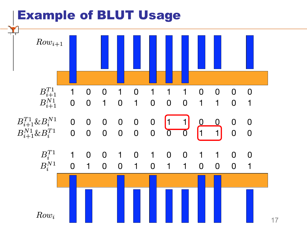#### Example of BLUT Usage

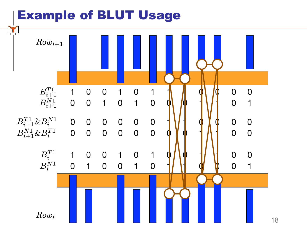#### Example of BLUT Usage

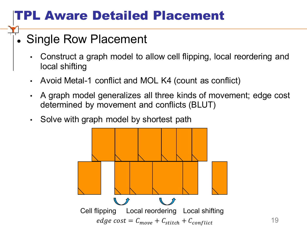# TPL Aware Detailed Placement

#### • Single Row Placement

- Construct a graph model to allow cell flipping, local reordering and local shifting
- Avoid Metal-1 conflict and MOL K4 (count as conflict)
- A graph model generalizes all three kinds of movement; edge cost determined by movement and conflicts (BLUT)
- Solve with graph model by shortest path

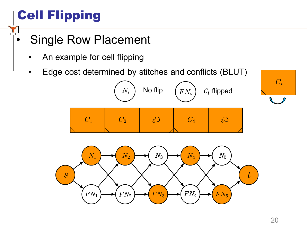# Cell Flipping

- Single Row Placement
	- An example for cell flipping
	- Edge cost determined by stitches and conflicts (BLUT)



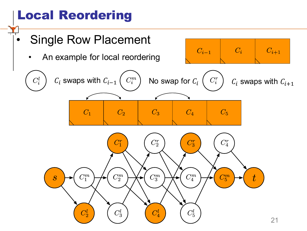# Local Reordering

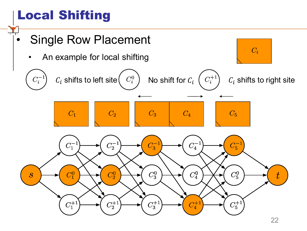# Local Shifting

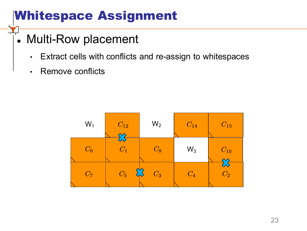# Whitespace Assignment

#### • Multi-Row placement

- Extract cells with conflicts and re-assign to whitespaces
- Remove conflicts

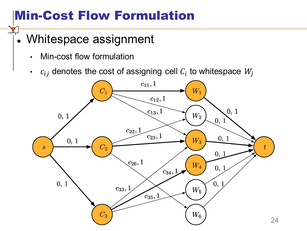# Min-Cost Flow Formulation

#### • Whitespace assignment

- Min-cost flow formulation
- $\cdot$   $c_{ij}$  denotes the cost of assigning cell  $C_i$  to whitespace  $W_i$

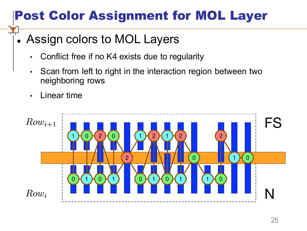# Post Color Assignment for MOL Layer

#### . Assign colors to MOL Layers

- Conflict free if no K4 exists due to regularity
- Scan from left to right in the interaction region between two neighboring rows
- Linear time

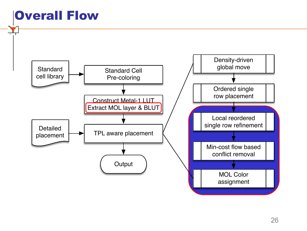## Overall Flow

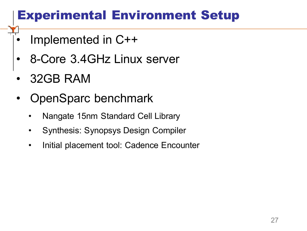# Experimental Environment Setup

- Implemented in C++
- 8-Core 3.4GHz Linux server
- 32GB RAM
- OpenSparc benchmark
	- Nangate 15nm Standard Cell Library
	- Synthesis: Synopsys Design Compiler
	- Initial placement tool: Cadence Encounter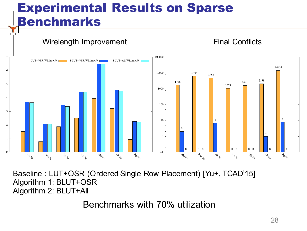## Experimental Results on Sparse Benchmarks



Baseline : LUT+OSR (Ordered Single Row Placement) [Yu+, TCAD'15] Algorithm 1: BLUT+OSR Algorithm 2: BLUT+All

Benchmarks with 70% utilization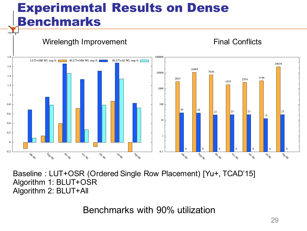## Experimental Results on Dense Benchmarks



Baseline : LUT+OSR (Ordered Single Row Placement) [Yu+, TCAD'15] Algorithm 1: BLUT+OSR Algorithm 2: BLUT+All

Benchmarks with 90% utilization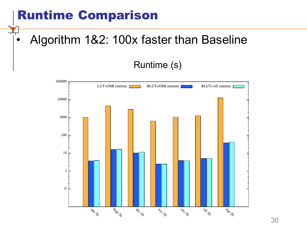## Runtime Comparison

### • Algorithm 1&2: 100x faster than Baseline

#### Runtime (s)

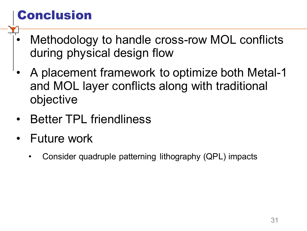# Conclusion

- Methodology to handle cross-row MOL conflicts during physical design flow
- A placement framework to optimize both Metal-1 and MOL layer conflicts along with traditional objective
- Better TPL friendliness
- Future work
	- Consider quadruple patterning lithography (QPL) impacts